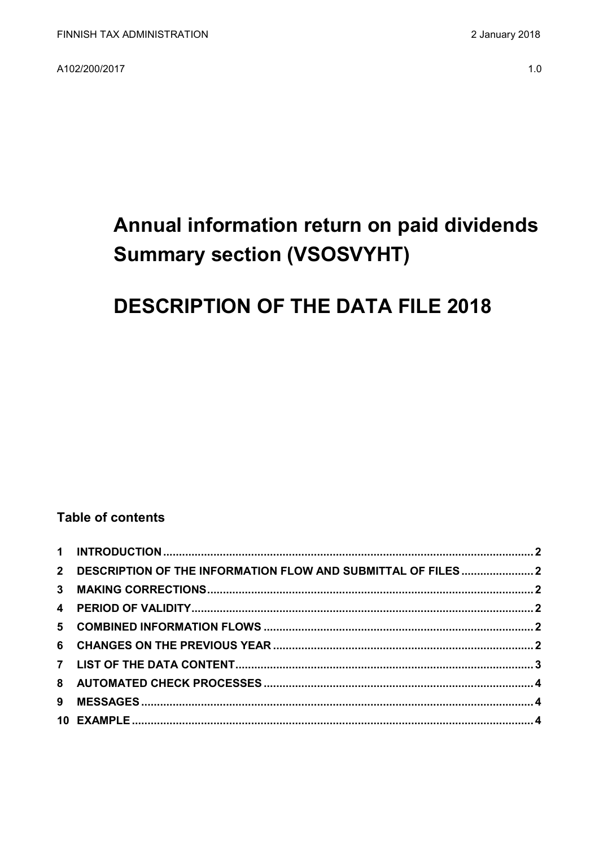A102/200/2017

# Annual information return on paid dividends **Summary section (VSOSVYHT)**

# **DESCRIPTION OF THE DATA FILE 2018**

### **Table of contents**

| 2 DESCRIPTION OF THE INFORMATION FLOW AND SUBMITTAL OF FILES2 |  |
|---------------------------------------------------------------|--|
|                                                               |  |
|                                                               |  |
|                                                               |  |
|                                                               |  |
|                                                               |  |
|                                                               |  |
|                                                               |  |
|                                                               |  |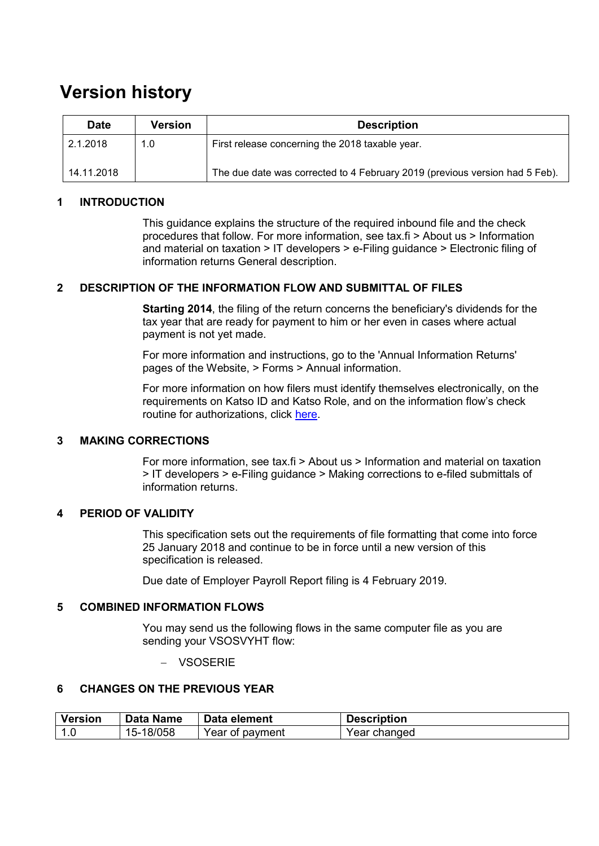## **Version history**

| <b>Date</b> | <b>Version</b> | <b>Description</b>                                                          |
|-------------|----------------|-----------------------------------------------------------------------------|
| 2.1.2018    | 1.0            | First release concerning the 2018 taxable year.                             |
| 14.11.2018  |                | The due date was corrected to 4 February 2019 (previous version had 5 Feb). |

#### <span id="page-1-0"></span>**1 INTRODUCTION**

This guidance explains the structure of the required inbound file and the check procedures that follow. For more information, see tax.fi > About us > Information and material on taxation > IT developers > e-Filing guidance > Electronic filing of information returns General description.

#### <span id="page-1-1"></span>**2 DESCRIPTION OF THE INFORMATION FLOW AND SUBMITTAL OF FILES**

**Starting 2014**, the filing of the return concerns the beneficiary's dividends for the tax year that are ready for payment to him or her even in cases where actual payment is not yet made.

For more information and instructions, go to the 'Annual Information Returns' pages of the Website, > Forms > Annual information.

For more information on how filers must identify themselves electronically, on the requirements on Katso ID and Katso Role, and on the information flow's check routine for authorizations, click [here.](https://www.ilmoitin.fi/webtamo/sivut/IlmoituslajiRoolit?kieli=en&tv=VSOSVYHT)

#### <span id="page-1-2"></span>**3 MAKING CORRECTIONS**

For more information, see tax.fi > About us > Information and material on taxation > IT developers > e-Filing guidance > Making corrections to e-filed submittals of information returns.

#### <span id="page-1-3"></span>**4 PERIOD OF VALIDITY**

This specification sets out the requirements of file formatting that come into force 25 January 2018 and continue to be in force until a new version of this specification is released.

Due date of Employer Payroll Report filing is 4 February 2019.

#### <span id="page-1-4"></span>**5 COMBINED INFORMATION FLOWS**

You may send us the following flows in the same computer file as you are sending your VSOSVYHT flow:

VSOSERIE

#### <span id="page-1-5"></span>**6 CHANGES ON THE PREVIOUS YEAR**

| <b>Version</b> | <b>Data Name</b>  | Data element    | <b>Description</b> |
|----------------|-------------------|-----------------|--------------------|
|                | -18/058<br>$15-1$ | Year of payment | Year changed       |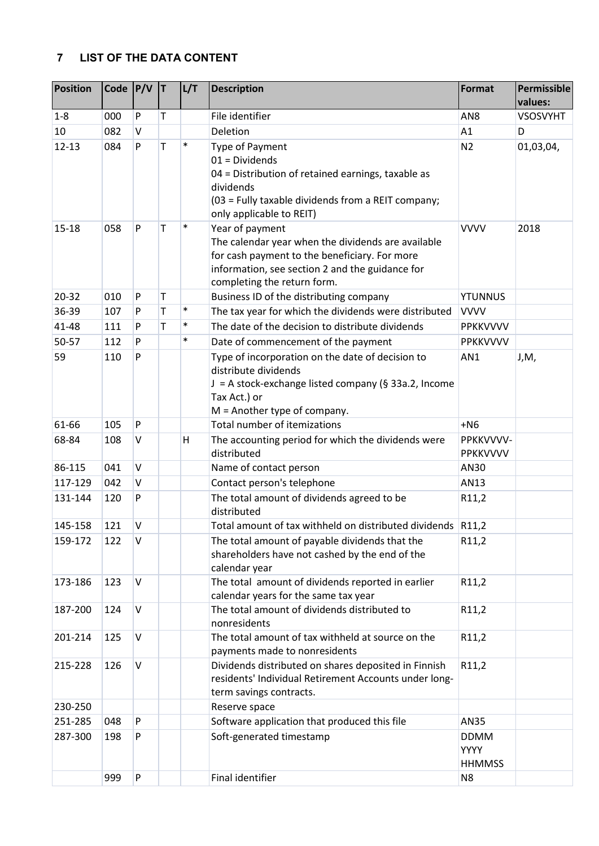#### <span id="page-2-0"></span>**7 LIST OF THE DATA CONTENT**

| P<br>Τ<br>$1 - 8$<br>000<br>10<br>082<br>V |        | File identifier                                                                                                                                                                                          |                                      | values:         |
|--------------------------------------------|--------|----------------------------------------------------------------------------------------------------------------------------------------------------------------------------------------------------------|--------------------------------------|-----------------|
|                                            |        |                                                                                                                                                                                                          | AN <sub>8</sub>                      | <b>VSOSVYHT</b> |
|                                            |        | Deletion                                                                                                                                                                                                 | A1                                   | D               |
| T<br>$12 - 13$<br>084<br>P                 | $\ast$ | Type of Payment<br>$01 = Dividends$<br>04 = Distribution of retained earnings, taxable as<br>dividends<br>(03 = Fully taxable dividends from a REIT company;<br>only applicable to REIT)                 | N <sub>2</sub>                       | 01,03,04,       |
| P<br>$15 - 18$<br>Т<br>058                 | $\ast$ | Year of payment<br>The calendar year when the dividends are available<br>for cash payment to the beneficiary. For more<br>information, see section 2 and the guidance for<br>completing the return form. | <b>VVVV</b>                          | 2018            |
| ${\sf P}$<br>20-32<br>T<br>010             |        | Business ID of the distributing company                                                                                                                                                                  | <b>YTUNNUS</b>                       |                 |
| T<br>36-39<br>107<br>P                     | $\ast$ | The tax year for which the dividends were distributed                                                                                                                                                    | <b>VVVV</b>                          |                 |
| T<br>41-48<br>P<br>111                     | $\ast$ | The date of the decision to distribute dividends                                                                                                                                                         | PPKKVVVV                             |                 |
| 50-57<br>112<br>P                          | $\ast$ | Date of commencement of the payment                                                                                                                                                                      | PPKKVVVV                             |                 |
| P<br>59<br>110                             |        | Type of incorporation on the date of decision to<br>distribute dividends<br>J = A stock-exchange listed company (§ 33a.2, Income<br>Tax Act.) or<br>$M =$ Another type of company.                       | AN1                                  | J,M,            |
| ${\sf P}$<br>61-66<br>105                  |        | Total number of itemizations                                                                                                                                                                             | $+NG$                                |                 |
| 68-84<br>V<br>108                          | Н      | The accounting period for which the dividends were<br>distributed                                                                                                                                        | PPKKVVVV-<br>PPKKVVVV                |                 |
| 86-115<br>V<br>041                         |        | Name of contact person                                                                                                                                                                                   | AN30                                 |                 |
| $\vee$<br>117-129<br>042                   |        | Contact person's telephone                                                                                                                                                                               | AN13                                 |                 |
| P<br>131-144<br>120                        |        | The total amount of dividends agreed to be<br>distributed                                                                                                                                                | R11,2                                |                 |
| $\vee$<br>121<br>145-158                   |        | Total amount of tax withheld on distributed dividends R11,2                                                                                                                                              |                                      |                 |
| 122<br>$\vee$<br>159-172                   |        | The total amount of payable dividends that the<br>shareholders have not cashed by the end of the<br>calendar year                                                                                        | R11,2                                |                 |
| $\vee$<br>173-186<br>123                   |        | The total amount of dividends reported in earlier<br>calendar years for the same tax year                                                                                                                | R11,2                                |                 |
| $\vee$<br>187-200<br>124                   |        | The total amount of dividends distributed to<br>nonresidents                                                                                                                                             | R11,2                                |                 |
| $\vee$<br>201-214<br>125                   |        | The total amount of tax withheld at source on the<br>payments made to nonresidents                                                                                                                       | R11,2                                |                 |
| $\sf V$<br>126<br>215-228                  |        | Dividends distributed on shares deposited in Finnish<br>residents' Individual Retirement Accounts under long-<br>term savings contracts.                                                                 | R11,2                                |                 |
| 230-250                                    |        | Reserve space                                                                                                                                                                                            |                                      |                 |
| 251-285<br>048<br>P                        |        | Software application that produced this file                                                                                                                                                             | AN35                                 |                 |
| 287-300<br>P<br>198                        |        | Soft-generated timestamp                                                                                                                                                                                 | <b>DDMM</b><br>YYYY<br><b>HHMMSS</b> |                 |
| ${\sf P}$<br>999                           |        | Final identifier                                                                                                                                                                                         | N <sub>8</sub>                       |                 |